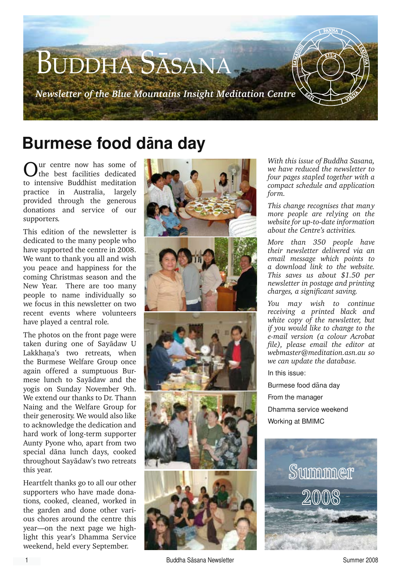

# **Burmese food dàna day**

Our centre now has some of the best facilities dedicated to intensive Buddhist meditation practice in Australia, largely provided through the generous donations and service of our supporters.

This edition of the newsletter is dedicated to the many people who have supported the centre in 2008. We want to thank you all and wish you peace and happiness for the coming Christmas season and the New Year. There are too many people to name individually so we focus in this newsletter on two recent events where volunteers have played a central role.

The photos on the front page were taken during one of Sayàdaw U Lakkhana's two retreats, when the Burmese Welfare Group once again offered a sumptuous Burmese lunch to Sayàdaw and the yogis on Sunday November 9th. We extend our thanks to Dr. Thann Naing and the Welfare Group for their generosity. We would also like to acknowledge the dedication and hard work of long-term supporter Aunty Pyone who, apart from two special dàna lunch days, cooked throughout Sayàdaw's two retreats this year.

Heartfelt thanks go to all our other supporters who have made donations, cooked, cleaned, worked in the garden and done other various chores around the centre this year—on the next page we highlight this year's Dhamma Service weekend, held every September.



*With this issue of Buddha Sasana, we have reduced the newsletter to four pages stapled together with a compact schedule and application form.*

*This change recognises that many more people are relying on the website for up-to-date information about the Centre's activities.* 

*More than 350 people have their newsletter delivered via an email message which points to a download link to the website. This saves us about \$1.50 per newsletter in postage and printing charges, a significant saving.*

*You may wish to continue receiving a printed black and white copy of the newsletter, but if you would like to change to the e-mail version (a colour Acrobat file), please email the editor at webmaster@meditation.asn.au so we can update the database.* 

In this issue:

Burmese food dàna day From the manager Dhamma service weekend Working at BMIMC

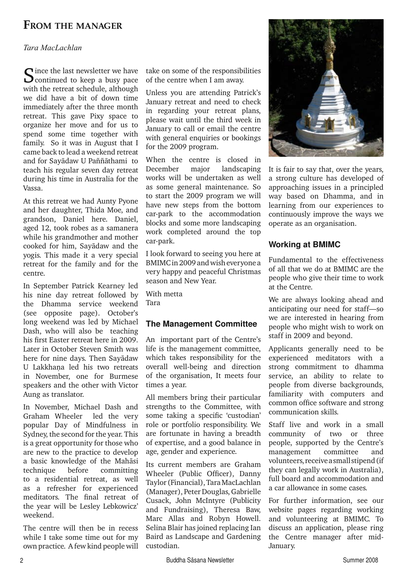# **From the manager**

## *Tara MacLachlan*

Since the last newsletter we have<br>
Scontinued to keep a busy pace with the retreat schedule, although we did have a bit of down time immediately after the three month retreat. This gave Pixy space to organize her move and for us to spend some time together with family. So it was in August that I came back to lead a weekend retreat and for Savādaw U Paññāthami to teach his regular seven day retreat during his time in Australia for the Vassa.

At this retreat we had Aunty Pyone and her daughter, Thida Moe, and grandson, Daniel here. Daniel, aged 12, took robes as a samanera while his grandmother and mother cooked for him, Sayàdaw and the yogis. This made it a very special retreat for the family and for the centre.

In September Patrick Kearney led his nine day retreat followed by the Dhamma service weekend (see opposite page). October's long weekend was led by Michael Dash, who will also be teaching his first Easter retreat here in 2009. Later in October Steven Smith was here for nine days. Then Sayàdaw U Lakkhana led his two retreats in November, one for Burmese speakers and the other with Victor Aung as translator.

In November, Michael Dash and Graham Wheeler led the very popular Day of Mindfulness in Sydney, the second for the year. This is a great opportunity for those who are new to the practice to develop a basic knowledge of the Mahàsi technique before committing to a residential retreat, as well as a refresher for experienced meditators. The final retreat of the year will be Lesley Lebkowicz' weekend.

The centre will then be in recess while I take some time out for my own practice. A few kind people will take on some of the responsibilities of the centre when I am away.

Unless you are attending Patrick's January retreat and need to check in regarding your retreat plans, please wait until the third week in January to call or email the centre with general enquiries or bookings for the 2009 program.

When the centre is closed in December major landscaping works will be undertaken as well as some general maintenance. So to start the 2009 program we will have new steps from the bottom car-park to the accommodation blocks and some more landscaping work completed around the top car-park.

I look forward to seeing you here at BMIMC in 2009 and wish everyone a very happy and peaceful Christmas season and New Year.

With metta Tara

## **The Management Committee**

An important part of the Centre's life is the management committee, which takes responsibility for the overall well-being and direction of the organisation, It meets four times a year.

All members bring their particular strengths to the Committee, with some taking a specific 'custodian' role or portfolio responsibility. We are fortunate in having a breadth of expertise, and a good balance in age, gender and experience.

Its current members are Graham Wheeler (Public Officer), Danny Taylor (Financial), Tara MacLachlan (Manager), Peter Douglas, Gabrielle Cusack, John McIntyre (Publicity and Fundraising), Theresa Baw, Marc Allas and Robyn Howell. Selina Blair has joined replacing Ian Baird as Landscape and Gardening custodian.



It is fair to say that, over the years, a strong culture has developed of approaching issues in a principled way based on Dhamma, and in learning from our experiences to continuously improve the ways we operate as an organisation.

# **Working at BMIMC**

Fundamental to the effectiveness of all that we do at BMIMC are the people who give their time to work at the Centre.

We are always looking ahead and anticipating our need for staff—so we are interested in hearing from people who might wish to work on staff in 2009 and beyond.

Applicants generally need to be experienced meditators with a strong commitment to dhamma service, an ability to relate to people from diverse backgrounds, familiarity with computers and common office software and strong communication skills.

Staff live and work in a small community of two or three people, supported by the Centre's management committee and volunteers, receive a small stipend (if they can legally work in Australia), full board and accommodation and a car allowance in some cases.

For further information, see our website pages regarding working and volunteering at BMIMC. To discuss an application, please ring the Centre manager after mid-January.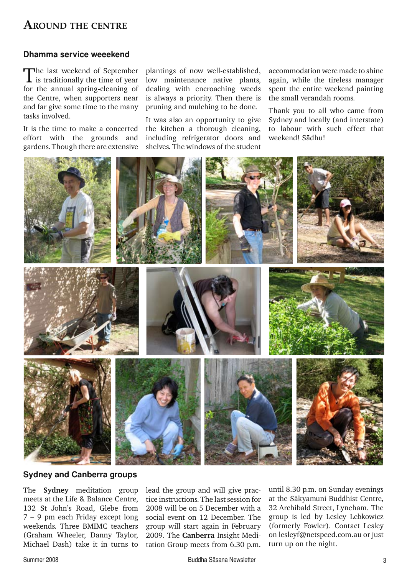# **Around the centre**

### **Dhamma service weeekend**

The last weekend of September is traditionally the time of year for the annual spring-cleaning of the Centre, when supporters near and far give some time to the many tasks involved.

It is the time to make a concerted effort with the grounds and gardens. Though there are extensive

plantings of now well-established, low maintenance native plants, dealing with encroaching weeds is always a priority. Then there is pruning and mulching to be done.

It was also an opportunity to give the kitchen a thorough cleaning, including refrigerator doors and shelves. The windows of the student

accommodation were made to shine again, while the tireless manager spent the entire weekend painting the small verandah rooms.

Thank you to all who came from Sydney and locally (and interstate) to labour with such effect that weekend! Sàdhu!



**Sydney and Canberra groups**

The **Sydney** meditation group meets at the Life & Balance Centre, 132 St John's Road, Glebe from 7 – 9 pm each Friday except long weekends. Three BMIMC teachers (Graham Wheeler, Danny Taylor, Michael Dash) take it in turns to

lead the group and will give practice instructions. The last session for 2008 will be on 5 December with a social event on 12 December. The group will start again in February 2009. The **Canberra** Insight Meditation Group meets from 6.30 p.m.

until 8.30 p.m. on Sunday evenings at the Sàkyamuni Buddhist Centre, 32 Archibald Street, Lyneham. The group is led by Lesley Lebkowicz (formerly Fowler). Contact Lesley on lesleyf@netspeed.com.au or just turn up on the night.